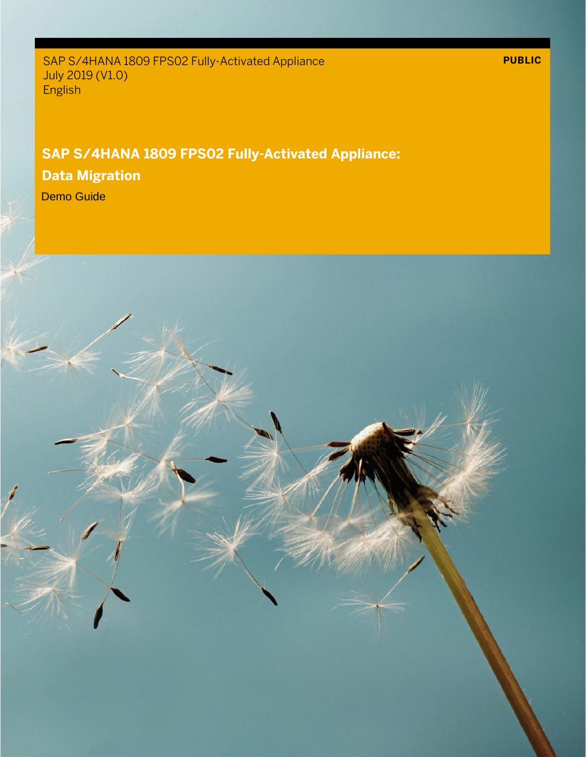SAP S/4HANA 1809 FPS02 Fully-Activated Appliance July 2019 (V1.0) English

### **SAP S/4HANA 1809 FPS02 Fully-Activated Appliance:**

### **Data Migration**

Demo Guide

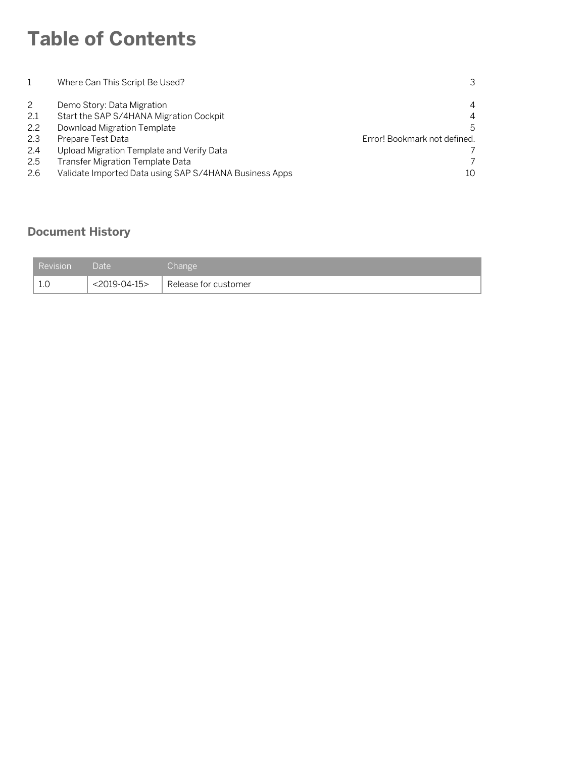# **Table of Contents**

|                   | Where Can This Script Be Used?                                                                                            | 3                                                        |
|-------------------|---------------------------------------------------------------------------------------------------------------------------|----------------------------------------------------------|
| 2.1<br>2.2<br>2.3 | Demo Story: Data Migration<br>Start the SAP S/4HANA Migration Cockpit<br>Download Migration Template<br>Prepare Test Data | 4<br>$\overline{4}$<br>5<br>Error! Bookmark not defined. |
| 2.4               | Upload Migration Template and Verify Data                                                                                 |                                                          |
| 2.5               | Transfer Migration Template Data                                                                                          |                                                          |
| 2.6               | Validate Imported Data using SAP S/4HANA Business Apps                                                                    | 10                                                       |

#### **Document History**

| <b>Revision</b> | Date'        | Change               |
|-----------------|--------------|----------------------|
| t.v             | <2019-04-15> | Release for customer |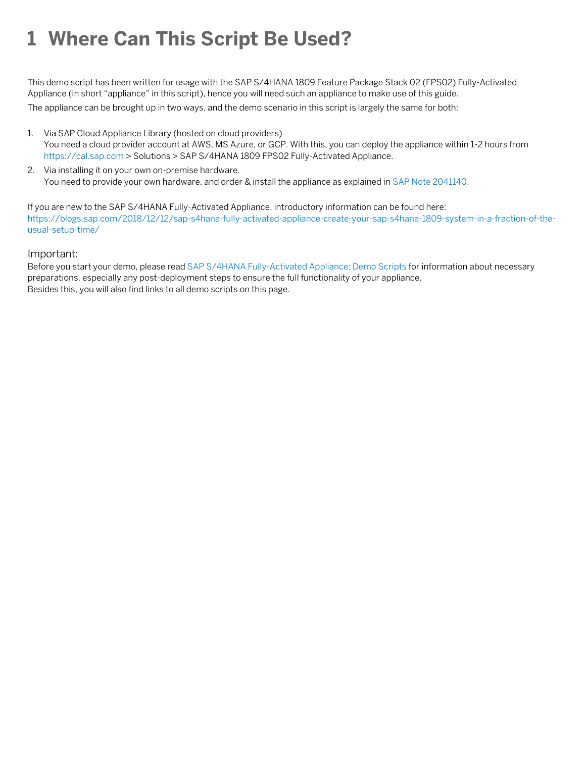## **1 Where Can This Script Be Used?**

This demo script has been written for usage with the SAP S/4HANA 1809 Feature Package Stack 02 (FPS02) Fully-Activated Appliance (in short "appliance" in this script), hence you will need such an appliance to make use of this guide.

The appliance can be brought up in two ways, and the demo scenario in this script is largely the same for both:

- 1. Via SAP Cloud Appliance Library (hosted on cloud providers) You need a cloud provider account at AWS, MS Azure, or GCP. With this, you can deploy the appliance within 1-2 hours from [https://cal.sap.com](https://cal.sap.com/) > Solutions > SAP S/4HANA 1809 FPS02 Fully-Activated Appliance.
- 2. Via installing it on your own on-premise hardware. You need to provide your own hardware, and order & install the appliance as explained i[n SAP Note 2041140.](http://service.sap.com/sap/support/notes/2041140)

If you are new to the SAP S/4HANA Fully-Activated Appliance, introductory information can be found here: [https://blogs.sap.com/2018/12/12/sap-s4hana-fully-activated-appliance-create-your-sap-s4hana-1809-system-in-a-fraction-of-the](https://blogs.sap.com/2018/12/12/sap-s4hana-fully-activated-appliance-create-your-sap-s4hana-1809-system-in-a-fraction-of-the-usual-setup-time/)[usual-setup-time/](https://blogs.sap.com/2018/12/12/sap-s4hana-fully-activated-appliance-create-your-sap-s4hana-1809-system-in-a-fraction-of-the-usual-setup-time/)

#### Important:

Before you start your demo, please read [SAP S/4HANA Fully-Activated Appliance: Demo Scripts](https://blogs.sap.com/?p=796653) for information about necessary preparations, especially any post-deployment steps to ensure the full functionality of your appliance. Besides this, you will also find links to all demo scripts on this page.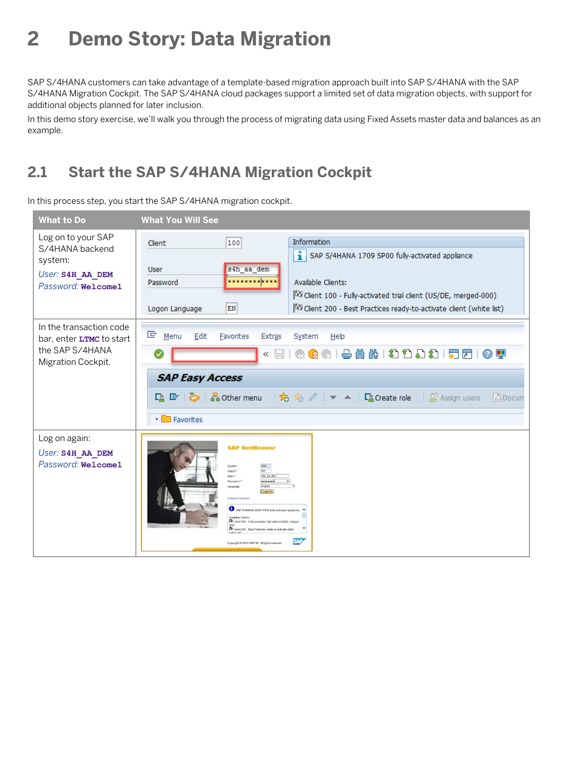## **2 Demo Story: Data Migration**

SAP S/4HANA customers can take advantage of a template-based migration approach built into SAP S/4HANA with the SAP S/4HANA Migration Cockpit. The SAP S/4HANA cloud packages support a limited set of data migration objects, with support for additional objects planned for later inclusion.

In this demo story exercise, we'll walk you through the process of migrating data using Fixed Assets master data and balances as an example.

### **2.1 Start the SAP S/4HANA Migration Cockpit**

In this process step, you start the SAP S/4HANA migration cockpit.

| <b>What to Do</b>                                                                                   | <b>What You Will See</b>                                                                                                                                                                                                                                                                                                                                                                                                      |
|-----------------------------------------------------------------------------------------------------|-------------------------------------------------------------------------------------------------------------------------------------------------------------------------------------------------------------------------------------------------------------------------------------------------------------------------------------------------------------------------------------------------------------------------------|
| Log on to your SAP<br>S/4HANA backend<br>system:<br>User: S4H AA DEM<br>Password: Welcome1          | Information<br>100<br>Client<br>SAP S/4HANA 1709 SP00 fully-activated appliance<br>s4h aa dem<br><b>User</b><br>************<br>Available Clients:<br>Password<br>Client 100 - Fully-activated trial client (US/DE, merged-000)<br>${\rm EN}$<br>Client 200 - Best Practices ready-to-activate client (white list)<br>Logon Language                                                                                          |
| In the transaction code<br>bar, enter <b>LTMC</b> to start<br>the SAP S/4HANA<br>Migration Cockpit. | G<br>Menu<br>Edit<br><b>Favorites</b><br><b>Extras</b><br>System<br>Help<br>GGISHH (1990) 1951<br><b>⊙ !!!</b><br>$\overline{\mathbb{R}}$<br><b>SAP Easy Access</b><br>『G 『 》 Assign users<br><b>Ba</b> Docum<br>Favorites                                                                                                                                                                                                    |
| Log on again:<br>User: S4H AA DEM<br>Password: Welcome1                                             | <b>SAP NetWeaver</b><br>S4H<br>Svistam<br>100<br>Client <sup>*</sup><br>s4h_ea_dem<br>How it<br><br>English<br>Language<br>Log On<br>Change Password<br>SAP S/4HANA 1809 FPS02 fully-activated appliance<br>wailable Clients:<br><sup>27</sup> Client 100 - Fully-activated trial client (US/DE, merger<br>Client 200 - Best Practices ready-to-activate client<br><b>SAP</b><br>Copyright © 2019 SAP SE. All rights reserved |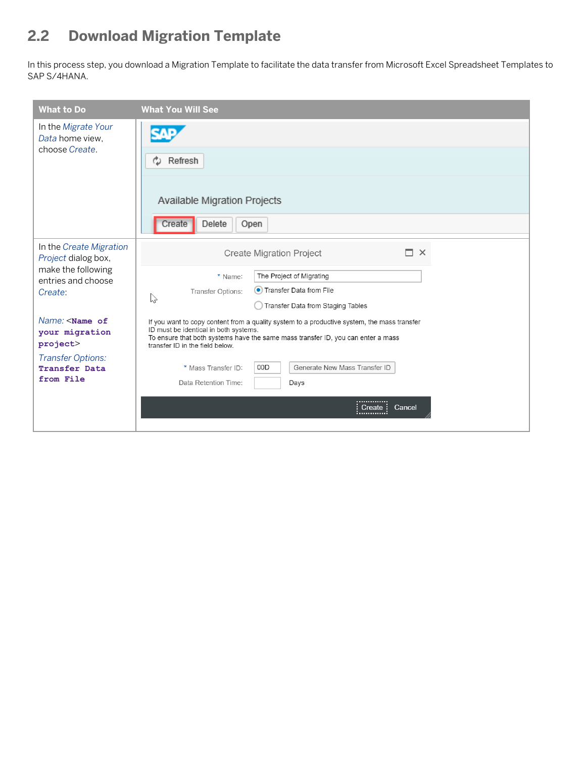### **2.2 Download Migration Template**

In this process step, you download a Migration Template to facilitate the data transfer from Microsoft Excel Spreadsheet Templates to SAP S/4HANA.

| <b>What to Do</b>                                                                                                | <b>What You Will See</b>                                                                                                                                                                                                                                                                                                   |
|------------------------------------------------------------------------------------------------------------------|----------------------------------------------------------------------------------------------------------------------------------------------------------------------------------------------------------------------------------------------------------------------------------------------------------------------------|
| In the Migrate Your<br>Data home view,<br>choose Create.                                                         | Refresh<br>Available Migration Projects<br>Delete<br>Open<br>Create                                                                                                                                                                                                                                                        |
| In the Create Migration<br>Project dialog box,<br>make the following<br>entries and choose<br>Create:            | m<br>$\times$<br><b>Create Migration Project</b><br>The Project of Migrating<br>* Name:<br>• Transfer Data from File<br>Transfer Options:<br>$\sum$<br>Transfer Data from Staging Tables                                                                                                                                   |
| Name: <name of<br="">your migration<br/>project&gt;<br/><b>Transfer Options:</b><br/><b>Transfer Data</b></name> | If you want to copy content from a quality system to a productive system, the mass transfer<br>ID must be identical in both systems.<br>To ensure that both systems have the same mass transfer ID, you can enter a mass<br>transfer ID in the field below.<br>00D<br>Generate New Mass Transfer ID<br>* Mass Transfer ID: |
| from File                                                                                                        | Data Retention Time:<br>Days<br>.<br>Cancel<br>Create:                                                                                                                                                                                                                                                                     |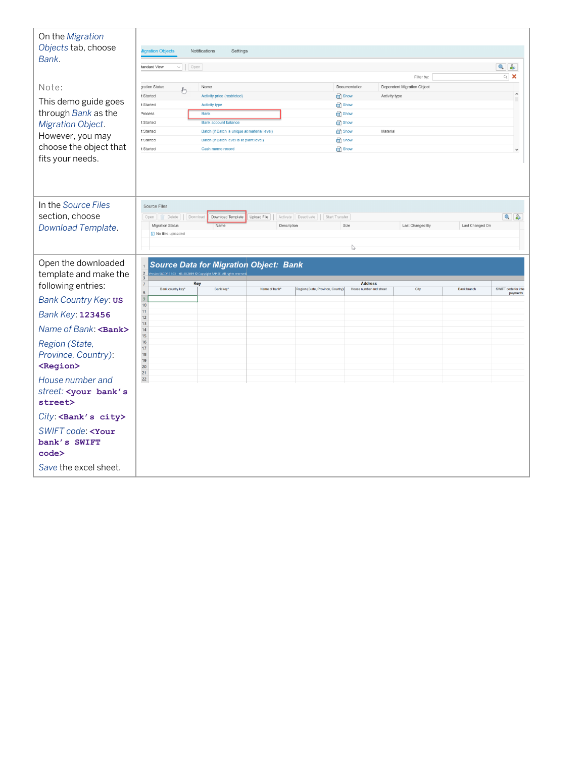| On the Migration<br>Objects tab, choose<br>Bank.<br>Note:<br>This demo guide goes<br>through Bank as the<br>Migration Object.<br>However, you may<br>choose the object that<br>fits your needs. | <b>Aigration Objects</b><br>tandard View<br>$\vee$   Open<br>gration Status<br>لسها<br>t Started<br>t Started<br>Process<br>t Started<br>t Started<br>t Started<br>t Started | <b>Notifications</b><br>Settings<br>Name<br>Activity price (restricted)<br>Activity type<br><b>Bank</b><br><b>Bank account balance</b><br>Batch (if Batch is unique at material level)<br>Batch (if Batch level is at plant level)<br>Cash memo record |                            |                                        | Documentation<br>Show<br><b>B</b> Show<br>show<br>Show<br>Show<br><sup>c</sup> Show<br>Show | Activity type<br>Material | Filter by:<br>Dependent Migration Object |                    | $\bullet$ $\bullet$<br>$\alpha$ $\times$ |
|-------------------------------------------------------------------------------------------------------------------------------------------------------------------------------------------------|------------------------------------------------------------------------------------------------------------------------------------------------------------------------------|--------------------------------------------------------------------------------------------------------------------------------------------------------------------------------------------------------------------------------------------------------|----------------------------|----------------------------------------|---------------------------------------------------------------------------------------------|---------------------------|------------------------------------------|--------------------|------------------------------------------|
| In the Source Files<br>section, choose<br>Download Template.                                                                                                                                    | Source Files<br>Open   Delete   Download<br>Migration Status<br>i No files uploaded                                                                                          | Download Template<br>Name                                                                                                                                                                                                                              | Upload File<br>Description | Activate   Deactivate   Start Transfer | Size<br>$\mathbb{V}$                                                                        |                           | Last Changed By                          | Last Changed On    | $\bullet$ $\bullet$                      |
| Open the downloaded                                                                                                                                                                             | <b>Source Data for Migration Object: Bank</b><br>$rac{2}{3}$<br>S4CORE 103 - 06.10.2019 @ Copyright SAP SE. All ri                                                           |                                                                                                                                                                                                                                                        |                            |                                        |                                                                                             |                           |                                          |                    |                                          |
| template and make the                                                                                                                                                                           |                                                                                                                                                                              |                                                                                                                                                                                                                                                        |                            |                                        |                                                                                             |                           |                                          |                    |                                          |
| following entries:                                                                                                                                                                              | $\overline{7}$<br>Bank country key'<br>8                                                                                                                                     | Key<br>Bank key*                                                                                                                                                                                                                                       | Name of bank'              | Region (State, Province, Country)      | <b>Address</b><br>House number and street                                                   |                           | City                                     | <b>Bank branch</b> | SWIFT code for inter<br>payments         |
| Bank Country Key: us                                                                                                                                                                            | $\overline{9}$<br>10                                                                                                                                                         |                                                                                                                                                                                                                                                        |                            |                                        |                                                                                             |                           |                                          |                    |                                          |
| <b>Bank Key: 123456</b>                                                                                                                                                                         | 11<br>12                                                                                                                                                                     |                                                                                                                                                                                                                                                        |                            |                                        |                                                                                             |                           |                                          |                    |                                          |
|                                                                                                                                                                                                 | 13                                                                                                                                                                           |                                                                                                                                                                                                                                                        |                            |                                        |                                                                                             |                           |                                          |                    |                                          |
| Name of Bank: <bank></bank>                                                                                                                                                                     | 14<br>15                                                                                                                                                                     |                                                                                                                                                                                                                                                        |                            |                                        |                                                                                             |                           |                                          |                    |                                          |
| Region (State,                                                                                                                                                                                  | 16<br>17                                                                                                                                                                     |                                                                                                                                                                                                                                                        |                            |                                        |                                                                                             |                           |                                          |                    |                                          |
| Province, Country):                                                                                                                                                                             | 18<br>19                                                                                                                                                                     |                                                                                                                                                                                                                                                        |                            |                                        |                                                                                             |                           |                                          |                    |                                          |
| <region></region>                                                                                                                                                                               | 20<br>21                                                                                                                                                                     |                                                                                                                                                                                                                                                        |                            |                                        |                                                                                             |                           |                                          |                    |                                          |
| House number and                                                                                                                                                                                | 22                                                                                                                                                                           |                                                                                                                                                                                                                                                        |                            |                                        |                                                                                             |                           |                                          |                    |                                          |
| street: < your bank's                                                                                                                                                                           |                                                                                                                                                                              |                                                                                                                                                                                                                                                        |                            |                                        |                                                                                             |                           |                                          |                    |                                          |
| street>                                                                                                                                                                                         |                                                                                                                                                                              |                                                                                                                                                                                                                                                        |                            |                                        |                                                                                             |                           |                                          |                    |                                          |
| City: <bank's city=""></bank's>                                                                                                                                                                 |                                                                                                                                                                              |                                                                                                                                                                                                                                                        |                            |                                        |                                                                                             |                           |                                          |                    |                                          |
| SWIFT code: <your<br>bank's SWIFT</your<br>                                                                                                                                                     |                                                                                                                                                                              |                                                                                                                                                                                                                                                        |                            |                                        |                                                                                             |                           |                                          |                    |                                          |
| code><br>Save the excel sheet.                                                                                                                                                                  |                                                                                                                                                                              |                                                                                                                                                                                                                                                        |                            |                                        |                                                                                             |                           |                                          |                    |                                          |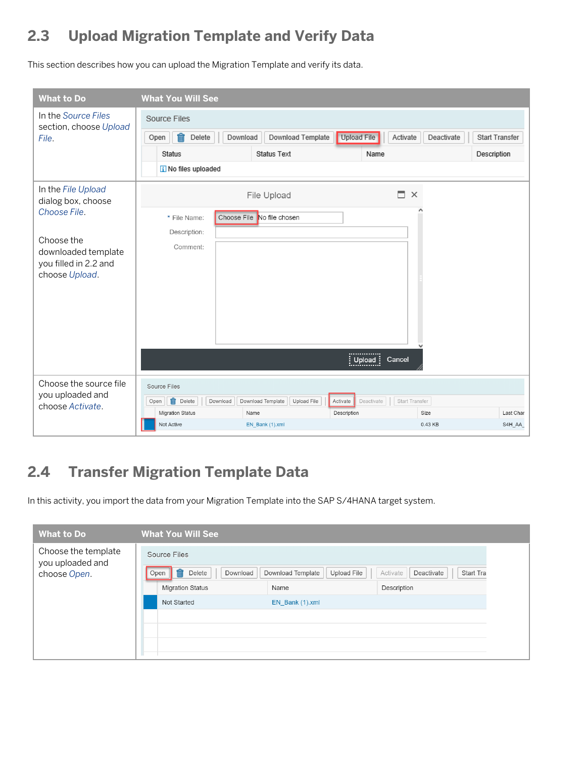### **2.3 Upload Migration Template and Verify Data**

This section describes how you can upload the Migration Template and verify its data.

| <b>What to Do</b>                                                                                                                        | <b>What You Will See</b>                                                                         |                                                     |                                                         |                           |                       |
|------------------------------------------------------------------------------------------------------------------------------------------|--------------------------------------------------------------------------------------------------|-----------------------------------------------------|---------------------------------------------------------|---------------------------|-----------------------|
| In the Source Files<br>section, choose Upload<br>File.                                                                                   | Source Files<br>Ť<br>Delete<br>Download<br>Open<br>Status<br>i No files uploaded                 | Download Template<br><b>Status Text</b>             | <b>Upload File</b><br>Activate<br>Name                  | Deactivate<br>Description | <b>Start Transfer</b> |
| In the File Upload<br>dialog box, choose<br>Choose File.<br>Choose the<br>downloaded template<br>you filled in 2.2 and<br>choose Upload. | * File Name:<br>Description:<br>Comment:                                                         | File Upload<br>Choose File No file chosen           | П.<br>$\times$<br><br>$:$ Upload<br>Cancel<br>.         |                           |                       |
| Choose the source file<br>you uploaded and<br>choose Activate.                                                                           | Source Files<br>m<br>Delete<br>Download<br>Open<br><b>Migration Status</b><br>Name<br>Not Active | Download Template<br>Upload File<br>EN_Bank (1).xml | Deactivate<br>Start Transfer<br>Activate<br>Description | Size<br>0.43 KB           | Last Char<br>S4H_AA_  |

### **2.4 Transfer Migration Template Data**

In this activity, you import the data from your Migration Template into the SAP S/4HANA target system.

| <b>What to Do</b>                       | <b>What You Will See</b>   |                                  |                                     |  |  |  |
|-----------------------------------------|----------------------------|----------------------------------|-------------------------------------|--|--|--|
| Choose the template<br>you uploaded and | Source Files               |                                  |                                     |  |  |  |
| choose Open.                            | Delete<br>Download<br>Open | Download Template<br>Upload File | Deactivate<br>Start Tra<br>Activate |  |  |  |
|                                         | <b>Migration Status</b>    | Name                             | Description                         |  |  |  |
|                                         | Not Started                | EN Bank (1).xml                  |                                     |  |  |  |
|                                         |                            |                                  |                                     |  |  |  |
|                                         |                            |                                  |                                     |  |  |  |
|                                         |                            |                                  |                                     |  |  |  |
|                                         |                            |                                  |                                     |  |  |  |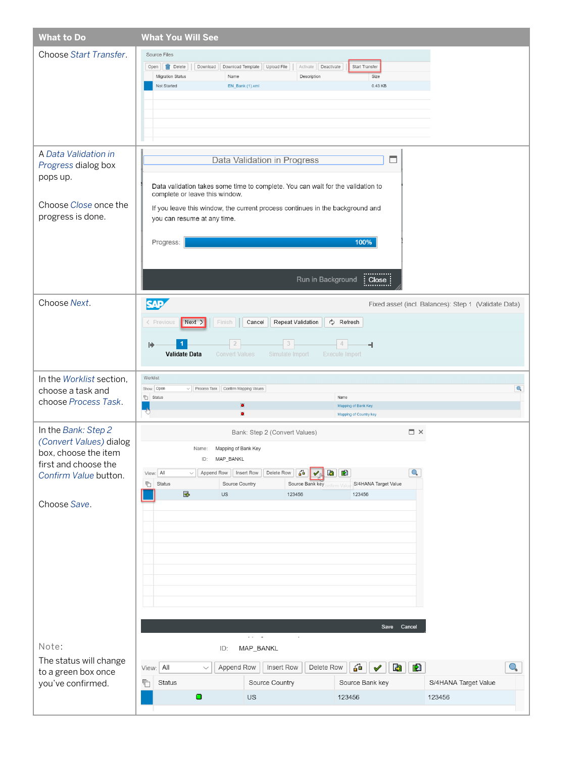| <b>What to Do</b>                                                                                                                       | <b>What You Will See</b>                                                                                                                                                                                                                                                                                                      |
|-----------------------------------------------------------------------------------------------------------------------------------------|-------------------------------------------------------------------------------------------------------------------------------------------------------------------------------------------------------------------------------------------------------------------------------------------------------------------------------|
| Choose Start Transfer.                                                                                                                  | Source Files<br>Download Template   Upload File<br>Deactivate<br>Start Transfer<br>Open   in Delete<br>Download<br>Activate<br><b>Migration Status</b><br>Size<br>Name<br>Description<br>Not Started<br>EN_Bank (1).xml<br>0.43 KB                                                                                            |
| A Data Validation in<br>Progress dialog box<br>pops up.                                                                                 | Data Validation in Progress<br>□<br>Data validation takes some time to complete. You can wait for the validation to<br>complete or leave this window.                                                                                                                                                                         |
| Choose Close once the<br>progress is done.                                                                                              | If you leave this window, the current process continues in the background and<br>you can resume at any time.<br>100%<br>Progress:<br><br>Run in Background<br>Close                                                                                                                                                           |
| Choose Next.                                                                                                                            | <b>SAP</b><br>Fixed asset (incl. Balances): Step 1 (Validate Data)<br>Next ><br>♦ Refresh<br>< Previous<br>Finish<br>Cancel<br><b>Repeat Validation</b><br>3<br>4<br>⋫<br>۳<br><b>Validate Data</b><br><b>Convert Values</b><br>Simulate Import<br><b>Execute Import</b>                                                      |
| In the Worklist section,<br>choose a task and<br>choose Process Task.                                                                   | Worklist<br>$\mathbb{O}_\bullet$<br>Show: Open<br>$\vee$ Process Task Confirm Mapping Values<br><b>T</b> Status<br>Name<br>o<br>Mapping of Bank Key<br>×<br>Mapping of Country key                                                                                                                                            |
| In the Bank: Step 2<br>(Convert Values) dialog<br>box, choose the item<br>first and choose the<br>Confirm Value button.<br>Choose Save. | $\square$ $\times$<br>Bank: Step 2 (Convert Values)<br>Mapping of Bank Key<br>Name:<br>ID: MAP_BANKL<br>View: All<br>즓<br><b>B</b><br>О,<br>Append Row   Insert Row<br>Delete Row<br>$\checkmark$<br>S/4HANA Target Value<br><b>『</b> Status<br>Source Country<br>Source Bank key<br>nfirm Val<br>귝<br>US<br>123456<br>123456 |
| Note:                                                                                                                                   | Save Cancel<br>$\alpha$ , $\alpha$ , $\alpha$<br>MAP_BANKL<br>ID:                                                                                                                                                                                                                                                             |
| The status will change<br>to a green box once<br>you've confirmed.                                                                      | <b>P</b><br>O.,<br>View: All<br>Append Row<br>Insert Row<br>60<br>專<br>Delete Row<br>$\checkmark$<br>Source Country<br>Source Bank key<br>S/4HANA Target Value<br>ħ<br>Status<br>۰<br>US<br>123456<br>123456                                                                                                                  |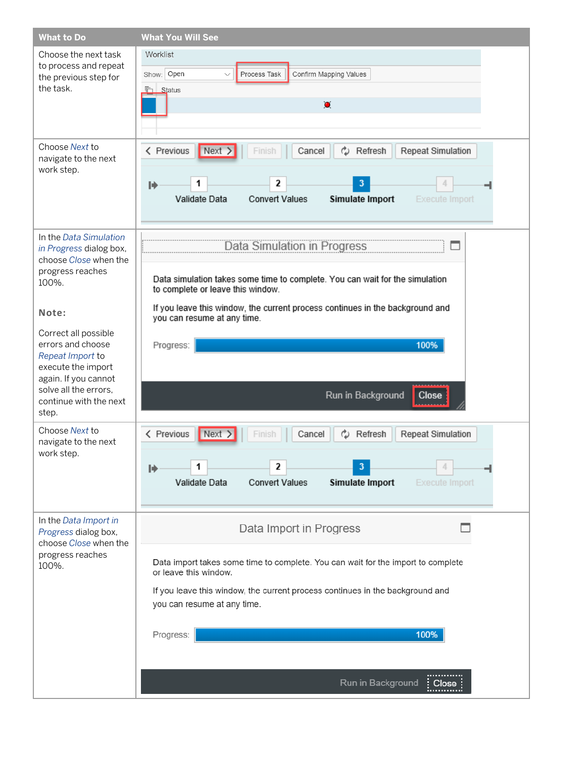| <b>What to Do</b>                                                                                                                                                                 | <b>What You Will See</b>                                                                                                                                                                                                                                                                     |
|-----------------------------------------------------------------------------------------------------------------------------------------------------------------------------------|----------------------------------------------------------------------------------------------------------------------------------------------------------------------------------------------------------------------------------------------------------------------------------------------|
| Choose the next task<br>to process and repeat<br>the previous step for<br>the task.                                                                                               | Worklist<br>Show: Open<br>Process Task<br>Confirm Mapping Values<br>$\checkmark$<br><b>后</b> Status<br>$\bullet$                                                                                                                                                                             |
| Choose Next to<br>navigate to the next<br>work step.                                                                                                                              | < Previous<br>Next ><br>Cancel<br>رم<br>Refresh<br><b>Repeat Simulation</b><br>Finish<br>2<br>3<br>1<br>⋫<br>Validate Data<br><b>Convert Values</b><br>Simulate Import<br>Execute Import                                                                                                     |
| In the Data Simulation<br>in Progress dialog box,<br>choose Close when the<br>progress reaches<br>100%.<br>Note:<br>Correct all possible<br>errors and choose<br>Repeat Import to | <b>Data Simulation in Progress</b><br>Data simulation takes some time to complete. You can wait for the simulation<br>to complete or leave this window.<br>If you leave this window, the current process continues in the background and<br>you can resume at any time.<br>100%<br>Progress: |
| execute the import<br>again. If you cannot<br>solve all the errors.<br>continue with the next<br>step.                                                                            | Run in Background<br><b>Close</b>                                                                                                                                                                                                                                                            |
| Choose Next to<br>navigate to the next<br>work step.                                                                                                                              | < Previous<br>$\vert$ Next $\rangle$<br>رم<br>Repeat Simulation<br>Cancel<br>Refresh<br>2<br>1<br>⋫<br><b>Convert Values</b><br>Validate Data<br>Simulate Import<br>Execute Import                                                                                                           |
| In the Data Import in<br>Progress dialog box,<br>choose Close when the<br>progress reaches<br>100%.                                                                               | Data Import in Progress<br>Data import takes some time to complete. You can wait for the import to complete<br>or leave this window.<br>If you leave this window, the current process continues in the background and<br>you can resume at any time.<br>Progress:<br>100%                    |
|                                                                                                                                                                                   | Run in Background<br>Close                                                                                                                                                                                                                                                                   |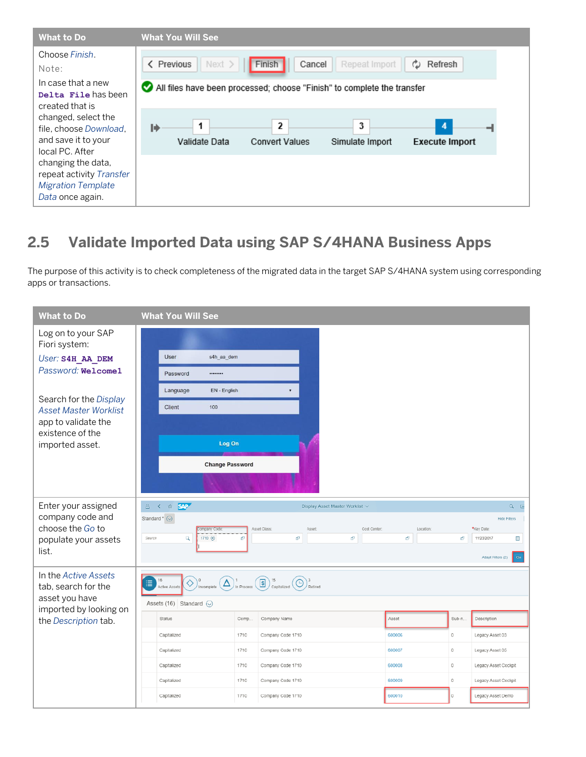

### **2.5 Validate Imported Data using SAP S/4HANA Business Apps**

The purpose of this activity is to check completeness of the migrated data in the target SAP S/4HANA system using corresponding apps or transactions.

| <b>What to Do</b>                                      | <b>What You Will See</b>                |                                                                                                                                                                               |                                 |                 |         |                               |
|--------------------------------------------------------|-----------------------------------------|-------------------------------------------------------------------------------------------------------------------------------------------------------------------------------|---------------------------------|-----------------|---------|-------------------------------|
| Log on to your SAP<br>Fiori system:                    |                                         |                                                                                                                                                                               |                                 |                 |         |                               |
| User: S4H AA DEM                                       | User<br>s4h_aa_dem                      |                                                                                                                                                                               |                                 |                 |         |                               |
| Password: Welcome1                                     | Password<br>                            |                                                                                                                                                                               |                                 |                 |         |                               |
|                                                        | Language<br>EN - English                |                                                                                                                                                                               |                                 |                 |         |                               |
| Search for the Display<br><b>Asset Master Worklist</b> | 100<br>Client                           |                                                                                                                                                                               |                                 |                 |         |                               |
| app to validate the<br>existence of the                |                                         |                                                                                                                                                                               |                                 |                 |         |                               |
| imported asset.                                        | Log On                                  |                                                                                                                                                                               |                                 |                 |         |                               |
|                                                        | <b>Change Password</b>                  |                                                                                                                                                                               |                                 |                 |         |                               |
|                                                        |                                         |                                                                                                                                                                               |                                 |                 |         |                               |
| Enter your assigned                                    | 8 <sup>1</sup><br>< a SAP               |                                                                                                                                                                               | Display Asset Master Worklist ~ |                 |         | $Q$ $E$                       |
| company code and                                       | Standard * (O)                          |                                                                                                                                                                               |                                 |                 |         | Hide Filters                  |
| choose the Go to                                       | Company Code<br>Q<br>1710 (8)<br>Search | Asset Class:<br>Ð<br>Đ                                                                                                                                                        | Asset:<br>Cost Center:<br>Ð     | Location:<br>b, | ō       | *Key Date:<br>11/23/2017<br>E |
| populate your assets<br>list.                          |                                         |                                                                                                                                                                               |                                 |                 |         |                               |
|                                                        |                                         |                                                                                                                                                                               |                                 |                 |         | Adapt Filters (2)<br>Co       |
| In the Active Assets<br>tab, search for the            | 16<br>這<br>Active Assets                | $\bigotimes$ <sup>0</sup> incomplete $\bigotimes$ <sup>1</sup> in Process $\bigcirc$ $\bigcirc$ $\bigcirc$ <sup>15</sup> capitalized $\bigcirc$ $\bigcirc$ $\bigcirc$ Retired |                                 |                 |         |                               |
| asset you have<br>imported by looking on               | Assets (16) Standard $\odot$            |                                                                                                                                                                               |                                 |                 |         |                               |
| the Description tab.                                   | Status                                  | Comp.<br>Company Name                                                                                                                                                         |                                 | Asset           | Sub-n.  | Description                   |
|                                                        | Capitalized                             | 1710<br>Company Code 1710                                                                                                                                                     |                                 | 600006          | $\circ$ | Legacy Asset 03               |
|                                                        | Capitalized                             | 1710<br>Company Code 1710                                                                                                                                                     |                                 | 600007          | $\circ$ | Legacy Asset 05               |
|                                                        | Capitalized                             | 1710<br>Company Code 1710                                                                                                                                                     |                                 | 600008          | $\circ$ | Legacy Asset Cockpit          |
|                                                        | Capitalized                             | 1710<br>Company Code 1710                                                                                                                                                     |                                 | 600009          | $\circ$ | Legacy Asset Cockpit          |
|                                                        | Capitalized                             | 1710<br>Company Code 1710                                                                                                                                                     |                                 | 600010          | $\circ$ | Legacy Asset Demo             |